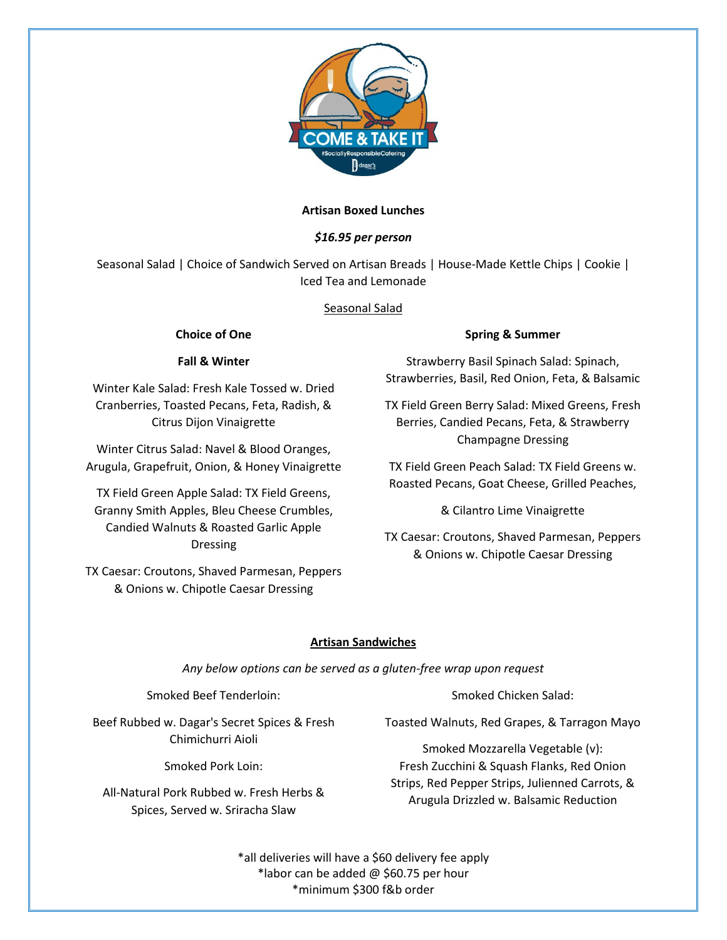

## **Artisan Boxed Lunches**

# *\$16.95 per person*

Seasonal Salad | Choice of Sandwich Served on Artisan Breads | House-Made Kettle Chips | Cookie | Iced Tea and Lemonade

## Seasonal Salad

## **Choice of One**

# **Fall & Winter**

Winter Kale Salad: Fresh Kale Tossed w. Dried Cranberries, Toasted Pecans, Feta, Radish, & Citrus Dijon Vinaigrette

Winter Citrus Salad: Navel & Blood Oranges, Arugula, Grapefruit, Onion, & Honey Vinaigrette

TX Field Green Apple Salad: TX Field Greens, Granny Smith Apples, Bleu Cheese Crumbles, Candied Walnuts & Roasted Garlic Apple Dressing

TX Caesar: Croutons, Shaved Parmesan, Peppers & Onions w. Chipotle Caesar Dressing

## **Spring & Summer**

Strawberry Basil Spinach Salad: Spinach, Strawberries, Basil, Red Onion, Feta, & Balsamic

TX Field Green Berry Salad: Mixed Greens, Fresh Berries, Candied Pecans, Feta, & Strawberry Champagne Dressing

TX Field Green Peach Salad: TX Field Greens w. Roasted Pecans, Goat Cheese, Grilled Peaches,

& Cilantro Lime Vinaigrette

TX Caesar: Croutons, Shaved Parmesan, Peppers & Onions w. Chipotle Caesar Dressing

# **Artisan Sandwiches**

*Any below options can be served as a gluten-free wrap upon request*

Smoked Beef Tenderloin:

Beef Rubbed w. Dagar's Secret Spices & Fresh Chimichurri Aioli

Smoked Pork Loin:

All-Natural Pork Rubbed w. Fresh Herbs & Spices, Served w. Sriracha Slaw

Smoked Chicken Salad:

Toasted Walnuts, Red Grapes, & Tarragon Mayo

Smoked Mozzarella Vegetable (v): Fresh Zucchini & Squash Flanks, Red Onion Strips, Red Pepper Strips, Julienned Carrots, & Arugula Drizzled w. Balsamic Reduction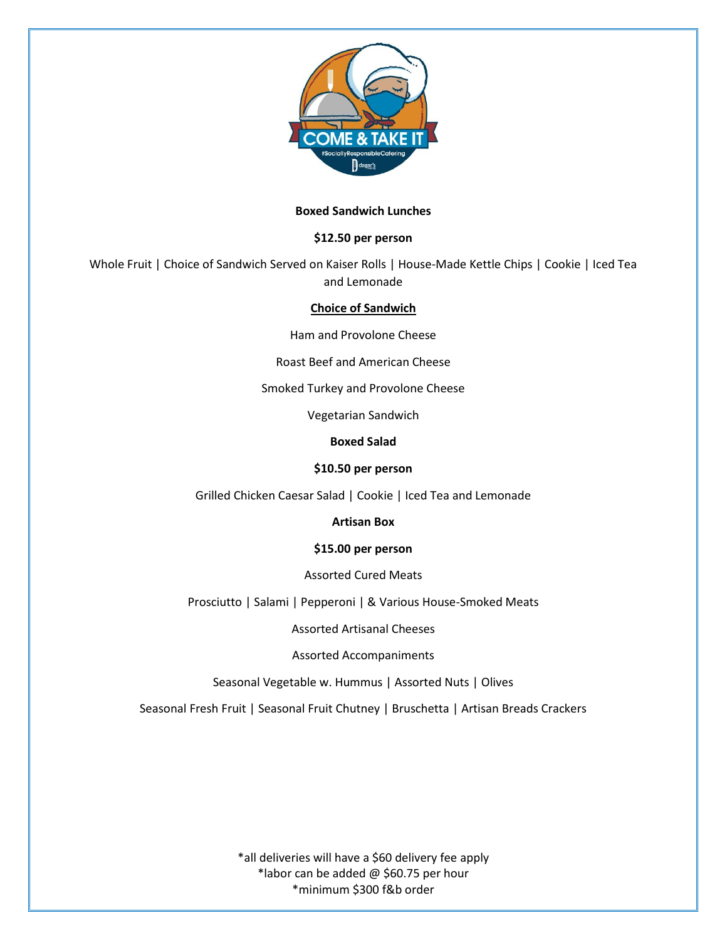

### **Boxed Sandwich Lunches**

### **\$12.50 per person**

Whole Fruit | Choice of Sandwich Served on Kaiser Rolls | House-Made Kettle Chips | Cookie | Iced Tea and Lemonade

#### **Choice of Sandwich**

Ham and Provolone Cheese

Roast Beef and American Cheese

Smoked Turkey and Provolone Cheese

Vegetarian Sandwich

**Boxed Salad**

#### **\$10.50 per person**

Grilled Chicken Caesar Salad | Cookie | Iced Tea and Lemonade

**Artisan Box**

#### **\$15.00 per person**

Assorted Cured Meats

Prosciutto | Salami | Pepperoni | & Various House-Smoked Meats

Assorted Artisanal Cheeses

Assorted Accompaniments

Seasonal Vegetable w. Hummus | Assorted Nuts | Olives

Seasonal Fresh Fruit | Seasonal Fruit Chutney | Bruschetta | Artisan Breads Crackers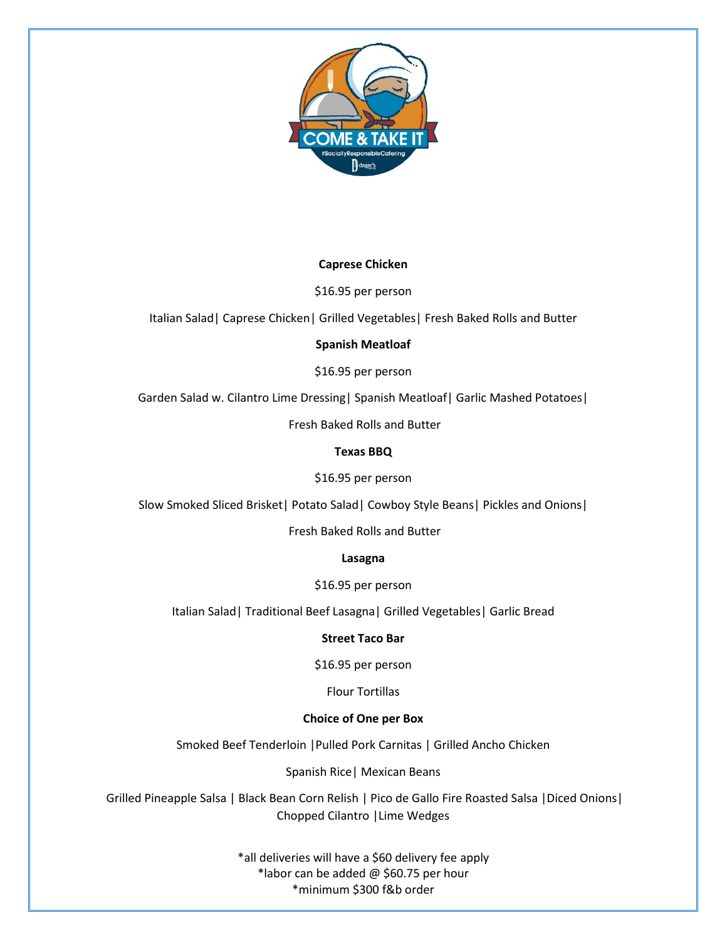

## **Caprese Chicken**

\$16.95 per person

Italian Salad| Caprese Chicken| Grilled Vegetables| Fresh Baked Rolls and Butter

### **Spanish Meatloaf**

\$16.95 per person

Garden Salad w. Cilantro Lime Dressing | Spanish Meatloaf | Garlic Mashed Potatoes |

Fresh Baked Rolls and Butter

### **Texas BBQ**

\$16.95 per person

Slow Smoked Sliced Brisket| Potato Salad| Cowboy Style Beans| Pickles and Onions|

Fresh Baked Rolls and Butter

**Lasagna**

\$16.95 per person

Italian Salad| Traditional Beef Lasagna| Grilled Vegetables| Garlic Bread

#### **Street Taco Bar**

\$16.95 per person

Flour Tortillas

### **Choice of One per Box**

Smoked Beef Tenderloin |Pulled Pork Carnitas | Grilled Ancho Chicken

Spanish Rice| Mexican Beans

Grilled Pineapple Salsa | Black Bean Corn Relish | Pico de Gallo Fire Roasted Salsa |Diced Onions| Chopped Cilantro |Lime Wedges